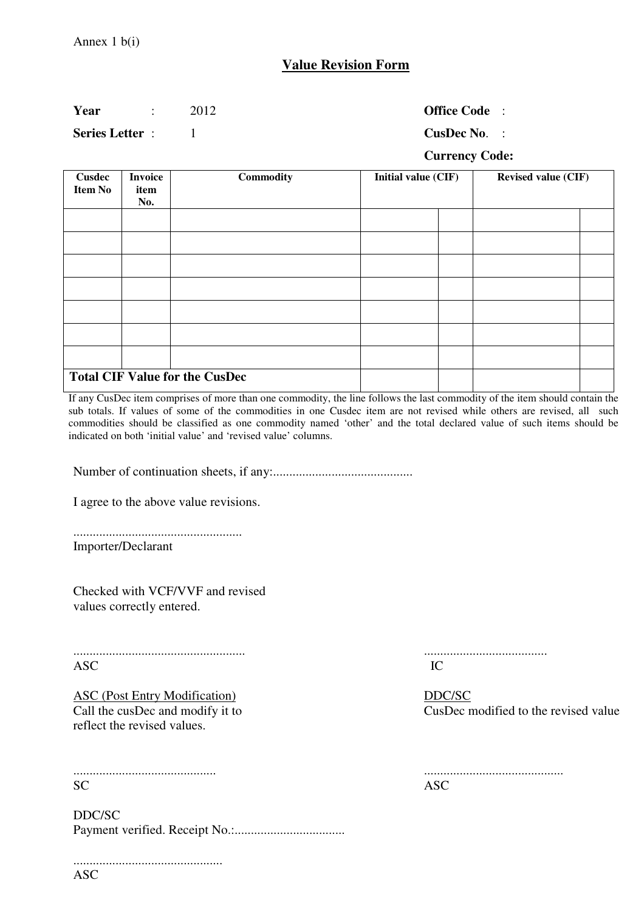## **Value Revision Form**

### **Year** : 2012 **Office Code** :

**Series Letter** : 1 **CusDec No.** :

### **Currency Code:**

| <b>Cusdec</b><br><b>Item No</b> | <b>Invoice</b><br>item<br>No. | Commodity                             | Initial value (CIF) | <b>Revised value (CIF)</b> |  |  |  |  |
|---------------------------------|-------------------------------|---------------------------------------|---------------------|----------------------------|--|--|--|--|
|                                 |                               |                                       |                     |                            |  |  |  |  |
|                                 |                               |                                       |                     |                            |  |  |  |  |
|                                 |                               |                                       |                     |                            |  |  |  |  |
|                                 |                               |                                       |                     |                            |  |  |  |  |
|                                 |                               |                                       |                     |                            |  |  |  |  |
|                                 |                               |                                       |                     |                            |  |  |  |  |
|                                 |                               |                                       |                     |                            |  |  |  |  |
|                                 |                               | <b>Total CIF Value for the CusDec</b> |                     |                            |  |  |  |  |

If any CusDec item comprises of more than one commodity, the line follows the last commodity of the item should contain the sub totals. If values of some of the commodities in one Cusdec item are not revised while others are revised, all such commodities should be classified as one commodity named 'other' and the total declared value of such items should be indicated on both 'initial value' and 'revised value' columns.

Number of continuation sheets, if any:...........................................

I agree to the above value revisions.

| <b>Importer/Declarant</b> |  |  |  |
|---------------------------|--|--|--|

Checked with VCF/VVF and revised values correctly entered.

..................................................... ...................................... ASC IC

ASC (Post Entry Modification) DDC/SC<br>
Call the cusDec and modify it to CusDec r reflect the revised values.

............................................ ........................................... SC ASC

..............................................

DDC/SC Payment verified. Receipt No.:..................................

CusDec modified to the revised value

| ASC |  |  |  |  |  |  |  |  |  |  |  |  |  |  |
|-----|--|--|--|--|--|--|--|--|--|--|--|--|--|--|

ASC